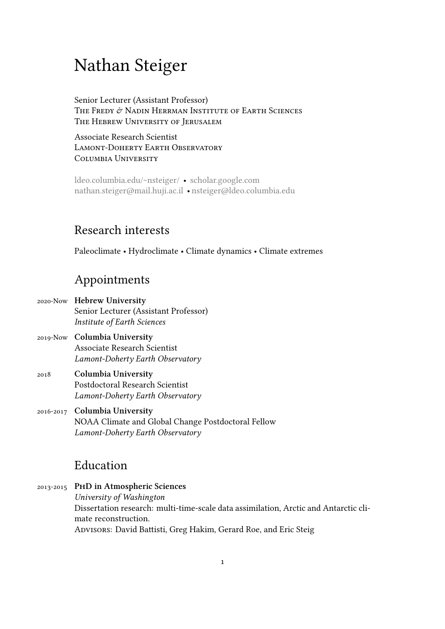# Nathan Steiger

Senior Lecturer (Assistant Professor) The Fredy & Nadin Herrman Institute of Earth Sciences The Hebrew University of Jerusalem

Associate Research Scientist Lamont-Doherty Earth Observatory COLUMBIA UNIVERSITY

ldeo.columbia.edu/~nsteiger/ • scholar.google.com nathan.steiger@mail.huji.ac.il • nsteiger@ldeo.columbia.edu

#### [Research interests](mailto:nathan.steiger@mail.huji.ac.il)

Paleoclimate • Hydroclimate • Climate dynamics • Climate extremes

## Appointments

- 2020-Now **Hebrew University** Senior Lecturer (Assistant Professor) *Institute of Earth Sciences*
- 2019-Now **Columbia University** Associate Research Scientist *Lamont-Doherty Earth Observatory*
- 2018 **Columbia University** Postdoctoral Research Scientist *Lamont-Doherty Earth Observatory*
- 2016-2017 **Columbia University** NOAA Climate and Global Change Postdoctoral Fellow *Lamont-Doherty Earth Observatory*

### Education

#### 2013-2015 **PhD in Atmospheric Sciences** *University of Washington* Dissertation research: multi-time-scale data assimilation, Arctic and Antarctic climate reconstruction. ADVISORS: David Battisti, Greg Hakim, Gerard Roe, and Eric Steig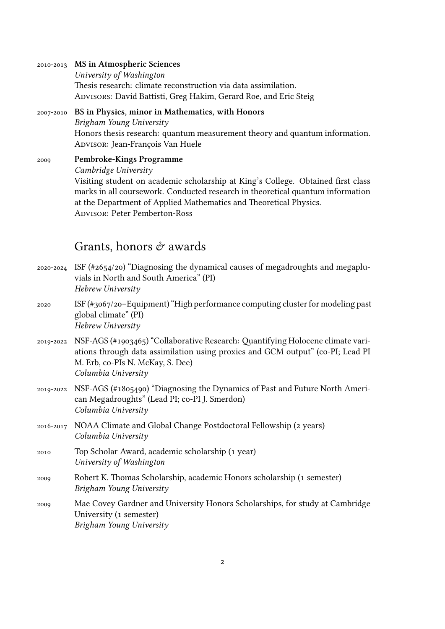| 2010-2013 MS in Atmospheric Sciences                             |
|------------------------------------------------------------------|
| University of Washington                                         |
| Thesis research: climate reconstruction via data assimilation.   |
| ADVISORS: David Battisti, Greg Hakim, Gerard Roe, and Eric Steig |
|                                                                  |

2007-2010 **BS in Physics, minor in Mathematics, with Honors** *Brigham Young University* Honors thesis research: quantum measurement theory and quantum information. Advisor: Jean-François Van Huele

2009 **Pembroke-Kings Programme** *Cambridge University* Visiting student on academic scholarship at King's College. Obtained first class marks in all coursework. Conducted research in theoretical quantum information at the Department of Applied Mathematics and Theoretical Physics. Advisor: Peter Pemberton-Ross

#### Grants, honors  $\acute{\sigma}$  awards

- 2020-2024 ISF (#2654/20) "Diagnosing the dynamical causes of megadroughts and megapluvials in North and South America" (PI) *Hebrew University*
- 2020 ISF (#3067/20–Equipment) "High performance computing cluster for modeling past global climate" (PI) *Hebrew University*
- 2019-2022 NSF-AGS (#1903465) "Collaborative Research: Quantifying Holocene climate variations through data assimilation using proxies and GCM output" (co-PI; Lead PI M. Erb, co-PIs N. McKay, S. Dee) *Columbia University*
- 2019-2022 NSF-AGS (#1805490) "Diagnosing the Dynamics of Past and Future North American Megadroughts" (Lead PI; co-PI J. Smerdon) *Columbia University*
- 2016-2017 NOAA Climate and Global Change Postdoctoral Fellowship (2 years) *Columbia University*
- 2010 Top Scholar Award, academic scholarship (1 year) *University of Washington*
- 2009 Robert K. Thomas Scholarship, academic Honors scholarship (1 semester) *Brigham Young University*
- 2009 Mae Covey Gardner and University Honors Scholarships, for study at Cambridge University (1 semester) *Brigham Young University*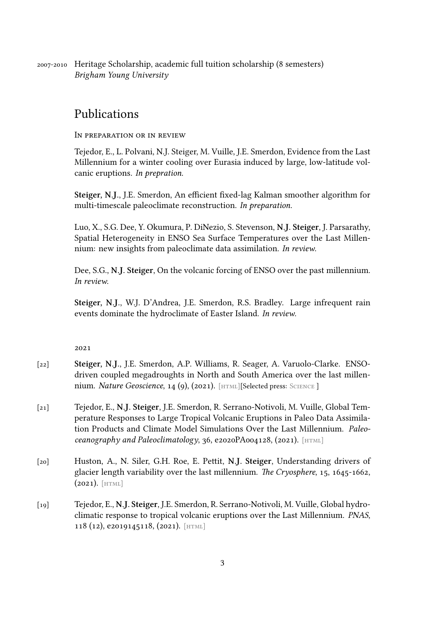### Publications

In preparation or in review

Tejedor, E., L. Polvani, N.J. Steiger, M. Vuille, J.E. Smerdon, Evidence from the Last Millennium for a winter cooling over Eurasia induced by large, low-latitude volcanic eruptions. *In prepration*.

**Steiger, N.J.**, J.E. Smerdon, An efficient fixed-lag Kalman smoother algorithm for multi-timescale paleoclimate reconstruction. *In preparation*.

Luo, X., S.G. Dee, Y. Okumura, P. DiNezio, S. Stevenson, **N.J. Steiger**, J. Parsarathy, Spatial Heterogeneity in ENSO Sea Surface Temperatures over the Last Millennium: new insights from paleoclimate data assimilation. *In review*.

Dee, S.G., **N.J. Steiger**, On the volcanic forcing of ENSO over the past millennium. *In review*.

**Steiger, N.J.**, W.J. D'Andrea, J.E. Smerdon, R.S. Bradley. Large infrequent rain events dominate the hydroclimate of Easter Island. *In review*.

2021

- [22] **Steiger, N.J.**, J.E. Smerdon, A.P. Williams, R. Seager, A. Varuolo-Clarke. ENSOdriven coupled megadroughts in North and South America over the last millennium. *Nature Geoscience*, 14 (9), (2021). [HTML][Selected press: SCIENCE]
- [21] Tejedor, E., **N.J. Steiger**, J.E. Smerdon, R. Serrano-Notivoli, M. Vuille, Global Temperature Responses to Large Tropical [Volcanic](https://doi.org/10.1038/s41561-021-00819-9) Eruptions i[n Paleo](https://science.sciencemag.org/content/367/6473/10.full) Data Assimilation Products and Climate Model Simulations Over the Last Millennium. *Paleoceanography and Paleoclimatology*, 36, e2020PA004128, (2021). [HTML]
- [20] Huston, A., N. Siler, G.H. Roe, E. Pettit, **N.J. Steiger**, Understanding drivers of glacier length variability over the last millennium. *The Cryosp[here](https://doi.org/10.1029/2020PA004128)*, 15, 1645-1662,  $(2021)$ . [HTML]
- [19] Tejedor, E., **N.J. Steiger**, J.E. Smerdon, R. Serrano-Notivoli, M. Vuille, Global hydroclimati[c respo](https://doi.org/10.5194/tc-15-1645-2021)nse to tropical volcanic eruptions over the Last Millennium. *PNAS*, 118 (12), e2019145118, (2021). [HTML]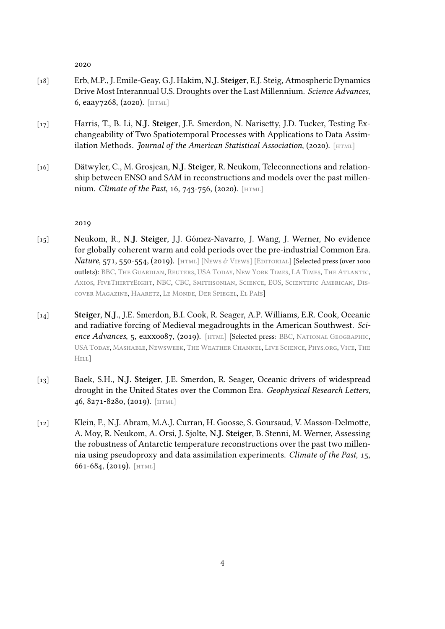2020

- [18] Erb, M.P., J. Emile-Geay, G.J. Hakim, **N.J. Steiger**, E.J. Steig, Atmospheric Dynamics Drive Most Interannual U.S. Droughts over the Last Millennium. *Science Advances*, 6, eaay7268, (2020). [html]
- [17] Harris, T., B. Li, **N.J. Steiger**, J.E. Smerdon, N. Narisetty, J.D. Tucker, Testing Exchangeability of Tw[o Spat](https://doi.org/10.1126/sciadv.aay7268)iotemporal Processes with Applications to Data Assimilation Methods. *Journal of the American Statistical Association*, (2020). [HTML]
- [16] Dätwyler, C., M. Grosjean, **N.J. Steiger**, R. Neukom, Teleconnections and relationship between ENSO and SAM in reconstructions and models over the p[ast mil](https://doi.org/10.1080/01621459.2020.1799810)len**nium.** *Climate of the Past*, 16, 743-756, (2020). [HTML]

2019

- [15] Neukom, R., **N.J. Steiger**, J.J. Gómez-Navarro, J. Wang, J. Werner, No evidence for globally coherent warm and cold periods over the pre-industrial Common Era. *Nature*, 571, 550-554, (2019). [HTML] [NEWS & VIEWS] [EDITORIAL] [Selected press (over 1000 outlets): BBC, The Guardian, Reuters, USA Today, New York Times, LA Times, The Atlantic, Axios, FiveThirtyEight, NBC, CBC, Smithsonian, Science, EOS, Scientific American, Discover Magazine, Haaretz, Le [Monde,](https://doi.org/10.1038/s41586-019-1401-2) [Der Spiegel,](https://doi.org/10.1038/d41586-019-02179-2) El P[aís\]](https://doi.org/10.1038/s41561-019-0428-1)
- [14] **[Steige](https://www.axios.com/global-warming-unprecedented-climate-change-374fba20-0277-4b5b-ba8b-6bec0f3041ec.html)r[, N.J](https://www.bbc.com/news/science-environment-49086783).**[, J.E. Smerd](https://www.theguardian.com/science/2019/jul/24/scientific-consensus-on-humans-causing-global-warming-passes-99)[on,](https://www.nbcnews.com/mach/science/climate-scientists-drive-stake-through-heart-skeptics-argument-ncna1033646) [B](https://uk.reuters.com/article/us-climatechange-study/global-warming-dwarfs-climate-variations-of-past-2000-years-study-idUKKCN1UJ2DC)[.I.](https://www.cbc.ca/news/technology/climate-change-2000-years-1.5222258) [C](https://uk.reuters.com/article/us-climatechange-study/global-warming-dwarfs-climate-variations-of-past-2000-years-study-idUKKCN1UJ2DC)[ook, R. Seag](https://www.smithsonianmag.com/science-nature/modern-climate-change-only-worldwide-warming-event-past-2000-years-180972719/)[e](https://www.nytimes.com/reuters/2019/07/24/world/europe/24reuters-climatechange-study.html)[r, A.P.](https://www.sciencemag.org/news/2019/07/ancient-global-climate-events-rippled-unevenly-across-globe) [W](https://www.nytimes.com/reuters/2019/07/24/world/europe/24reuters-climatechange-study.html)[ill](https://eos.org/articles/the-little-ice-age-wasnt-global-but-current-climate-change-is)[ia](https://www.nytimes.com/reuters/2019/07/24/world/europe/24reuters-climatechange-study.html)[ms, E.R. Cook, Oc](https://www.scientificamerican.com/article/current-warming-is-unparalleled-in-past-2-000-years/)[ea](https://www.theatlantic.com/science/archive/2019/07/why-little-ice-age-doesnt-matter/594517/)[nic](http://blogs.discovermagazine.com/d-brief/2019/07/24/unlike-modern-climate-change-the-biggest-swings-in-recorded-history-were-just-regional-patterns/) [and radiative](http://blogs.discovermagazine.com/d-brief/2019/07/24/unlike-modern-climate-change-the-biggest-swings-in-recorded-history-were-just-regional-patterns/)[f](http://blogs.discovermagazine.com/d-brief/2019/07/24/unlike-modern-climate-change-the-biggest-swings-in-recorded-history-were-just-regional-patterns/)[o](https://fivethirtyeight.com/features/significant-digits-for-thursday-july-25-2019/)[rcing of](https://www.haaretz.com/world-news/wires/1.7571083) [Medieval](https://www.lemonde.fr/planete/article/2019/07/24/la-quasi-totalite-de-la-planete-vit-sa-periode-la-plus-chaude-depuis-l-an-zero_5493029_3244.html) [megadroug](https://www.spiegel.de/wissenschaft/natur/klimawandel-frueherer-temperaturanstieg-oft-nur-regional-a-1278753.html)[hts in t](https://elpais.com/elpais/2019/07/24/ciencia/1563952725_398858.html)he American Southwest. *Science Advances*, 5, eaxx0087, (2019). [html] [Selected press: BBC, National Geographic, USA Today, Mashable, Newsweek, The Weather Channel, Live Science, Phys.org, Vice, The HILL]
- [13] [Baek, S.H](https://www.usatoday.com/story/news/nation/2019/07/25/megadroughts-predicted-return-southwest-due-climate-change/1826353001/)., **[N.J. Ste](https://mashable.com/article/southwest-megadroughts-future/)iger**, J.E. S[merdon, R. Seager, O](https://weather.com/science/environment/news/2019-07-25-southwest-megadroughts-returning-because-of-climate-change)[ceanic driv](https://www.livescience.com/66032-medieval-megadroughts-return-global-warming.html)[e](https://www.nationalgeographic.com/environment/2019/07/megadroughts-could-return-southwestern-us/)[rs of w](https://phys.org/news/2019-07-climate-revive-medieval-megadroughts-southwest.html)[id](https://www.nationalgeographic.com/environment/2019/07/megadroughts-could-return-southwestern-us/)[esp](https://www.vice.com/en_us/article/ywyykw/megadroughts-are-likely-coming-to-the-us-southwest-within-decades-scientists-say)[r](https://www.nationalgeographic.com/environment/2019/07/megadroughts-could-return-southwestern-us/)[ead](https://thehill.com/policy/energy-environment/454779-study-decades-long-megadroughts-could-return-to-us-due-to-climate) [drou](https://thehill.com/policy/energy-environment/454779-study-decades-long-megadroughts-could-return-to-us-due-to-climate)ght in the Unit[ed States o](https://www.newsweek.com/megadrought-america-southwest-climate-change-1450864)ver the Common Era. *Geophysical Research Letters*, 46, 8271-8280, (2019). [html]
- [12] Klein, F., N.J. Abram, M.A.J. Curran, H. Goosse, S. Goursaud, V. Masson-Delmotte, A. Moy, R. Neukom, [A. Orsi,](https://doi.org/10.1029/2019GL082838) J. Sjolte, **N.J. Steiger**, B. Stenni, M. Werner, Assessing the robustness of Antarctic temperature reconstructions over the past two millennia using pseudoproxy and data assimilation experiments. *Climate of the Past*, 15, 661-684, (2019). [html]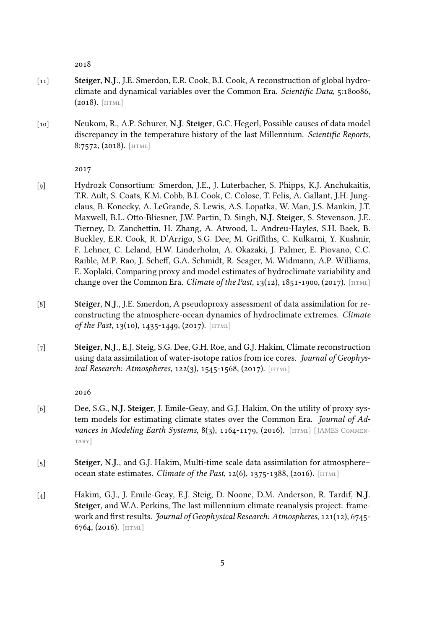2018

- [11] **Steiger, N.J.**, J.E. Smerdon, E.R. Cook, B.I. Cook, A reconstruction of global hydroclimate and dynamical variables over the Common Era. *Scientific Data*, 5:180086,  $(2018)$ . [HTML]
- [10] Neukom, R., A.P. Schurer, **N.J. Steiger**, G.C. Hegerl, Possible causes of data model discrep[ancy in](http://doi.org/10.1038/sdata.2018.86) the temperature history of the last Millennium. *Scientific Reports*, 8:7572, (2018). [html]

2017

- [9] Hydro2k Cons[ortium](https://doi.org/10.1038/s41598-018-25862-2): Smerdon, J.E., J. Luterbacher, S. Phipps, K.J. Anchukaitis, T.R. Ault, S. Coats, K.M. Cobb, B.I. Cook, C. Colose, T. Felis, A. Gallant, J.H. Jungclaus, B. Konecky, A. LeGrande, S. Lewis, A.S. Lopatka, W. Man, J.S. Mankin, J.T. Maxwell, B.L. Otto-Bliesner, J.W. Partin, D. Singh, **N.J. Steiger**, S. Stevenson, J.E. Tierney, D. Zanchettin, H. Zhang, A. Atwood, L. Andreu-Hayles, S.H. Baek, B. Buckley, E.R. Cook, R. D'Arrigo, S.G. Dee, M. Griffiths, C. Kulkarni, Y. Kushnir, F. Lehner, C. Leland, H.W. Linderholm, A. Okazaki, J. Palmer, E. Piovano, C.C. Raible, M.P. Rao, J. Scheff, G.A. Schmidt, R. Seager, M. Widmann, A.P. Williams, E. Xoplaki, Comparing proxy and model estimates of hydroclimate variability and change over the Common Era. *Climate of the Past*,  $13(12)$ ,  $1851-1900$ ,  $(2017)$ . [HTML]
- [8] **Steiger, N.J.**, J.E. Smerdon, A pseudoproxy assessment of data assimilation for reconstructing the atmosphere-ocean dynamics of hydroclimate extremes. *C[limate](https://doi.org/10.5194/cp-13-1851-2017) of the Past*, 13(10), 1435-1449, (2017). [HTML]
- [7] **Steiger, N.J.**, E.J. Steig, S.G. Dee, G.H. Roe, and G.J. Hakim, Climate reconstruction using data assimilation of water-isot[ope rat](https://doi.org/10.5194/cp-13-1435-2017)ios from ice cores. *Journal of Geophysical Research: Atmospheres*, 122(3), 1545-1568, (2017). [HTML]

2016

- [6] Dee, S.G., **N.J. Steiger**, J. Emile-Geay, and G.J. Hakim[, On th](https://doi.org/10.1002/2016JD026011)e utility of proxy system models for estimating climate states over the Common Era. *Journal of Advances in Modeling Earth Systems*, 8(3), 1164-1179, (2016). [HTML] [JAMES COMMENtary]
- [5] **Steiger, N.J.**, and G.J. Hakim, Multi-time scale data assimil[ation f](https://doi.org/10.1002/2016MS000677)[or atmosphere–](https://doi.org/10.1002/2016MS000739) [ocean](https://doi.org/10.1002/2016MS000739) state estimates. *Climate of the Past*, 12(6), 1375-1388, (2016). [HTML]
- [4] Hakim, G.J., J. Emile-Geay, E.J. Steig, D. Noone, D.M. Anderson, R. Tardif, **N.J. Steiger**, and W.A. Perkins, The last millennium climate reanalysis [project](https://doi.org/10.5194/cp-12-1375-2016): framework and first results. *Journal of Geophysical Research: Atmospheres*, 121(12), 6745- 6764, (2016). [html]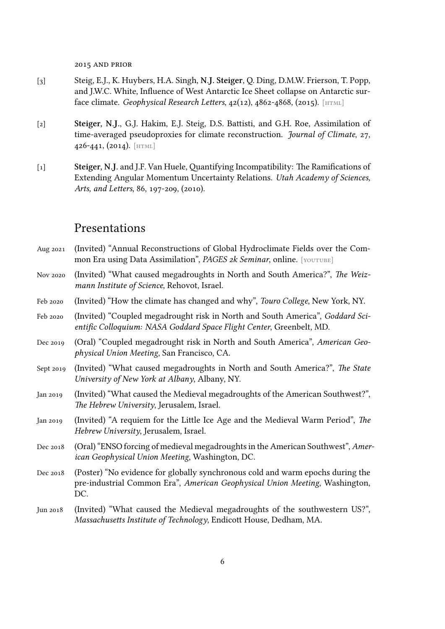2015 and prior

- [3] Steig, E.J., K. Huybers, H.A. Singh, **N.J. Steiger**, Q. Ding, D.M.W. Frierson, T. Popp, and J.W.C. White, Influence of West Antarctic Ice Sheet collapse on Antarctic surface climate. *Geophysical Research Letters*, 42(12), 4862-4868, (2015). [HTML]
- [2] **Steiger, N.J.**, G.J. Hakim, E.J. Steig, D.S. Battisti, and G.H. Roe, Assimilation of time-averaged pseudoproxies for climate reconstruction. *Journal o[f Clima](https://doi.org/10.1002/2015GL063861)te*, 27, 426-441, (2014). [html]
- [1] **Steiger, N.J.** and J.F. Van Huele, Quantifying Incompatibility: The Ramifications of Extending Ang[ular Mo](https://doi.org/10.1175/JCLI-D-12-00693.1)mentum Uncertainty Relations. *Utah Academy of Sciences, Arts, and Letters*, 86, 197-209, (2010).

#### Presentations

| Aug 2021  | (Invited) "Annual Reconstructions of Global Hydroclimate Fields over the Com-<br>mon Era using Data Assimilation", PAGES 2k Seminar, online. [YOUTUBE]               |
|-----------|----------------------------------------------------------------------------------------------------------------------------------------------------------------------|
| Nov 2020  | (Invited) "What caused megadroughts in North and South America?", The Weiz-<br>mann Institute of Science, Rehovot, Israel.                                           |
| Feb 2020  | (Invited) "How the climate has changed and why", Touro College, New York, NY.                                                                                        |
| Feb 2020  | (Invited) "Coupled megadrought risk in North and South America", Goddard Sci-<br>entific Colloquium: NASA Goddard Space Flight Center, Greenbelt, MD.                |
| Dec 2019  | (Oral) "Coupled megadrought risk in North and South America", American Geo-<br>physical Union Meeting, San Francisco, CA.                                            |
| Sept 2019 | (Invited) "What caused megadroughts in North and South America?", The State<br>University of New York at Albany, Albany, NY.                                         |
| Jan 2019  | (Invited) "What caused the Medieval megadroughts of the American Southwest?",<br>The Hebrew University, Jerusalem, Israel.                                           |
| Jan 2019  | (Invited) "A requiem for the Little Ice Age and the Medieval Warm Period", The<br>Hebrew University, Jerusalem, Israel.                                              |
| Dec 2018  | (Oral) "ENSO forcing of medieval megadroughts in the American Southwest", Amer-<br>ican Geophysical Union Meeting, Washington, DC.                                   |
| Dec 2018  | (Poster) "No evidence for globally synchronous cold and warm epochs during the<br>pre-industrial Common Era", American Geophysical Union Meeting, Washington,<br>DC. |
| Jun 2018  | (Invited) "What caused the Medieval megadroughts of the southwestern US?",<br>Massachusetts Institute of Technology, Endicott House, Dedham, MA.                     |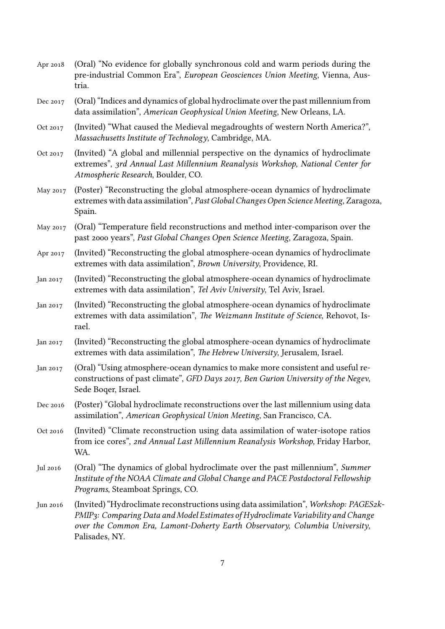| Apr 2018 | (Oral) "No evidence for globally synchronous cold and warm periods during the<br>pre-industrial Common Era", European Geosciences Union Meeting, Vienna, Aus-<br>tria.                                                                                                    |
|----------|---------------------------------------------------------------------------------------------------------------------------------------------------------------------------------------------------------------------------------------------------------------------------|
| Dec 2017 | (Oral) "Indices and dynamics of global hydroclimate over the past millennium from<br>data assimilation", American Geophysical Union Meeting, New Orleans, LA.                                                                                                             |
| Oct 2017 | (Invited) "What caused the Medieval megadroughts of western North America?",<br>Massachusetts Institute of Technology, Cambridge, MA.                                                                                                                                     |
| Oct 2017 | (Invited) "A global and millennial perspective on the dynamics of hydroclimate<br>extremes", 3rd Annual Last Millennium Reanalysis Workshop, National Center for<br>Atmospheric Research, Boulder, CO.                                                                    |
| May 2017 | (Poster) "Reconstructing the global atmosphere-ocean dynamics of hydroclimate<br>extremes with data assimilation", Past Global Changes Open Science Meeting, Zaragoza,<br>Spain.                                                                                          |
| May 2017 | (Oral) "Temperature field reconstructions and method inter-comparison over the<br>past 2000 years", Past Global Changes Open Science Meeting, Zaragoza, Spain.                                                                                                            |
| Apr 2017 | (Invited) "Reconstructing the global atmosphere-ocean dynamics of hydroclimate<br>extremes with data assimilation", Brown University, Providence, RI.                                                                                                                     |
| Jan 2017 | (Invited) "Reconstructing the global atmosphere-ocean dynamics of hydroclimate<br>extremes with data assimilation", Tel Aviv University, Tel Aviv, Israel.                                                                                                                |
| Jan 2017 | (Invited) "Reconstructing the global atmosphere-ocean dynamics of hydroclimate<br>extremes with data assimilation", The Weizmann Institute of Science, Rehovot, Is-<br>rael.                                                                                              |
| Jan 2017 | (Invited) "Reconstructing the global atmosphere-ocean dynamics of hydroclimate<br>extremes with data assimilation", The Hebrew University, Jerusalem, Israel.                                                                                                             |
| Jan 2017 | (Oral) "Using atmosphere-ocean dynamics to make more consistent and useful re-<br>constructions of past climate", GFD Days 2017, Ben Gurion University of the Negev,<br>Sede Boger, Israel.                                                                               |
| Dec 2016 | (Poster) "Global hydroclimate reconstructions over the last millennium using data<br>assimilation", American Geophysical Union Meeting, San Francisco, CA.                                                                                                                |
| Oct 2016 | (Invited) "Climate reconstruction using data assimilation of water-isotope ratios<br>from ice cores", 2nd Annual Last Millennium Reanalysis Workshop, Friday Harbor,<br>WA.                                                                                               |
| Jul 2016 | (Oral) "The dynamics of global hydroclimate over the past millennium", Summer<br>Institute of the NOAA Climate and Global Change and PACE Postdoctoral Fellowship<br>Programs, Steamboat Springs, CO.                                                                     |
| Jun 2016 | (Invited) "Hydroclimate reconstructions using data assimilation", Workshop: PAGES2k-<br>PMIP3: Comparing Data and Model Estimates of Hydroclimate Variability and Change<br>over the Common Era, Lamont-Doherty Earth Observatory, Columbia University,<br>Palisades, NY. |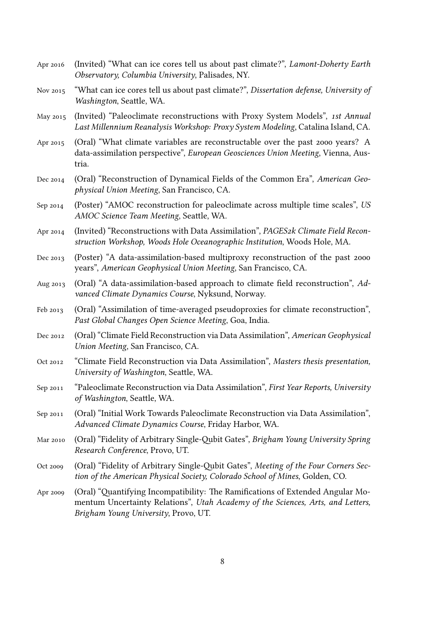| Apr 2016 | (Invited) "What can ice cores tell us about past climate?", Lamont-Doherty Earth<br>Observatory, Columbia University, Palisades, NY.                                                                      |
|----------|-----------------------------------------------------------------------------------------------------------------------------------------------------------------------------------------------------------|
| Nov 2015 | "What can ice cores tell us about past climate?", Dissertation defense, University of<br>Washington, Seattle, WA.                                                                                         |
| May 2015 | (Invited) "Paleoclimate reconstructions with Proxy System Models", 1st Annual<br>Last Millennium Reanalysis Workshop: Proxy System Modeling, Catalina Island, CA.                                         |
| Apr 2015 | (Oral) "What climate variables are reconstructable over the past 2000 years? A<br>data-assimilation perspective", European Geosciences Union Meeting, Vienna, Aus-<br>tria.                               |
| Dec 2014 | (Oral) "Reconstruction of Dynamical Fields of the Common Era", American Geo-<br>physical Union Meeting, San Francisco, CA.                                                                                |
| Sep 2014 | (Poster) "AMOC reconstruction for paleoclimate across multiple time scales", US<br>AMOC Science Team Meeting, Seattle, WA.                                                                                |
| Apr 2014 | (Invited) "Reconstructions with Data Assimilation", PAGES2k Climate Field Recon-<br>struction Workshop, Woods Hole Oceanographic Institution, Woods Hole, MA.                                             |
| Dec 2013 | (Poster) "A data-assimilation-based multiproxy reconstruction of the past 2000<br>years", American Geophysical Union Meeting, San Francisco, CA.                                                          |
| Aug 2013 | (Oral) "A data-assimilation-based approach to climate field reconstruction", Ad-<br>vanced Climate Dynamics Course, Nyksund, Norway.                                                                      |
| Feb 2013 | (Oral) "Assimilation of time-averaged pseudoproxies for climate reconstruction",<br>Past Global Changes Open Science Meeting, Goa, India.                                                                 |
| Dec 2012 | (Oral) "Climate Field Reconstruction via Data Assimilation", American Geophysical<br>Union Meeting, San Francisco, CA.                                                                                    |
| Oct 2012 | "Climate Field Reconstruction via Data Assimilation", Masters thesis presentation,<br>University of Washington, Seattle, WA.                                                                              |
| Sep 2011 | "Paleoclimate Reconstruction via Data Assimilation", First Year Reports, University<br>of Washington, Seattle, WA.                                                                                        |
| Sep 2011 | (Oral) "Initial Work Towards Paleoclimate Reconstruction via Data Assimilation",<br>Advanced Climate Dynamics Course, Friday Harbor, WA.                                                                  |
| Mar 2010 | (Oral) "Fidelity of Arbitrary Single-Qubit Gates", Brigham Young University Spring<br>Research Conference, Provo, UT.                                                                                     |
| Oct 2009 | (Oral) "Fidelity of Arbitrary Single-Qubit Gates", Meeting of the Four Corners Sec-<br>tion of the American Physical Society, Colorado School of Mines, Golden, CO.                                       |
| Apr 2009 | (Oral) "Quantifying Incompatibility: The Ramifications of Extended Angular Mo-<br>mentum Uncertainty Relations", Utah Academy of the Sciences, Arts, and Letters,<br>Brigham Young University, Provo, UT. |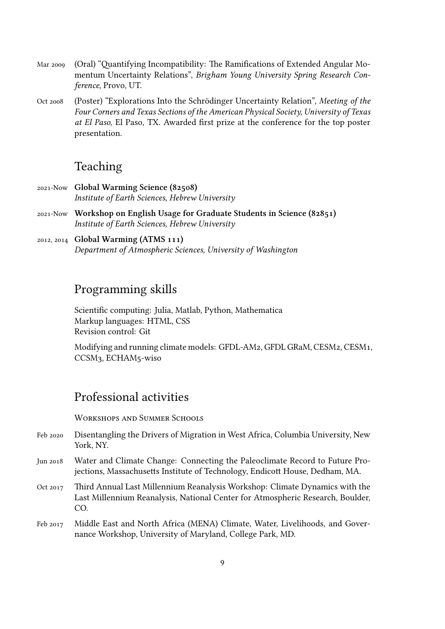- Mar 2009 (Oral) "Quantifying Incompatibility: The Ramifications of Extended Angular Momentum Uncertainty Relations", *Brigham Young University Spring Research Conference*, Provo, UT.
- Oct 2008 (Poster) "Explorations Into the Schrödinger Uncertainty Relation", *Meeting of the Four Corners and Texas Sections of the American Physical Society, University of Texas at El Paso*, El Paso, TX. Awarded first prize at the conference for the top poster presentation.

#### Teaching

- 2021-Now **Global Warming Science (82508)** *Institute of Earth Sciences, Hebrew University*
- 2021-Now **Workshop on English Usage for Graduate Students in Science (82851)** *Institute of Earth Sciences, Hebrew University*
- 2012, 2014 **Global Warming (ATMS 111)** *Department of Atmospheric Sciences, University of Washington*

#### Programming skills

Scientific computing: Julia, Matlab, Python, Mathematica Markup languages: HTML, CSS Revision control: Git

Modifying and running climate models: GFDL-AM2, GFDL GRaM, CESM2, CESM1, CCSM3, ECHAM5-wiso

#### Professional activities

WORKSHOPS AND SUMMER SCHOOLS

- Feb 2020 Disentangling the Drivers of Migration in West Africa, Columbia University, New York, NY.
- Jun 2018 Water and Climate Change: Connecting the Paleoclimate Record to Future Projections, Massachusetts Institute of Technology, Endicott House, Dedham, MA.
- Oct 2017 Third Annual Last Millennium Reanalysis Workshop: Climate Dynamics with the Last Millennium Reanalysis, National Center for Atmospheric Research, Boulder, CO.
- Feb 2017 Middle East and North Africa (MENA) Climate, Water, Livelihoods, and Governance Workshop, University of Maryland, College Park, MD.